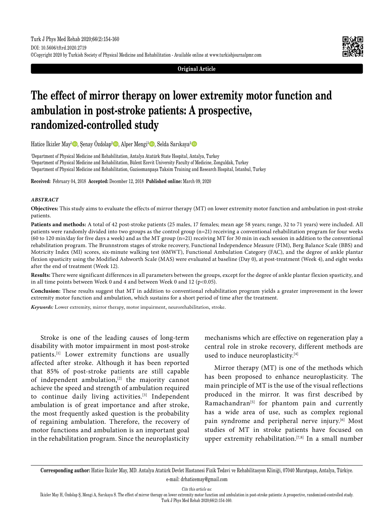

**Original Article**

# **The effect of mirror therapy on lower extremity motor function and ambulation in post-stroke patients: A prospective, randomized-controlled study**

Hatice İkizler May<sup>ı</sup> D, Şenay Özdolap<sup>2</sup> D, Alper Mengi<sup>3</sup> D, Selda Sarıkaya<sup>2</sup> D

1 Department of Physical Medicine and Rehabilitation, Antalya Atatürk State Hospital, Antalya, Turkey 2 Department of Physical Medicine and Rehabilitation, Bülent Ecevit University Faculty of Medicine, Zonguldak, Turkey 3 Department of Physical Medicine and Rehabilitation, Gaziosmanpaşa Taksim Training and Research Hospital, Istanbul, Turkey

**Received:** February 04, 2018 **Accepted:** December 12, 2018 **Published online:** March 09, 2020

## *ABSTRACT*

**Objectives:** This study aims to evaluate the effects of mirror therapy (MT) on lower extremity motor function and ambulation in post-stroke patients.

**Patients and methods:** A total of 42 post-stroke patients (25 males, 17 females; mean age 58 years; range, 32 to 71 years) were included. All patients were randomly divided into two groups as the control group (n=21) receiving a conventional rehabilitation program for four weeks (60 to 120 min/day for five days a week) and as the MT group (n=21) receiving MT for 30 min in each session in addition to the conventional rehabilitation program. The Brunnstrom stages of stroke recovery, Functional Independence Measure (FIM), Berg Balance Scale (BBS) and Motricity Index (MI) scores, six-minute walking test (6MWT), Functional Ambulation Category (FAC), and the degree of ankle plantar flexion spasticity using the Modified Ashworth Scale (MAS) were evaluated at baseline (Day 0), at post-treatment (Week 4), and eight weeks after the end of treatment (Week 12).

**Results:** There were significant differences in all parameters between the groups, except for the degree of ankle plantar flexion spasticity, and in all time points between Week 0 and 4 and between Week 0 and 12 ( $p$ <0.05).

**Conclusion:** These results suggest that MT in addition to conventional rehabilitation program yields a greater improvement in the lower extremity motor function and ambulation, which sustains for a short period of time after the treatment.

*Keywords:* Lower extremity, mirror therapy, motor impairment, neurorehabilitation, stroke.

Stroke is one of the leading causes of long-term disability with motor impairment in most post-stroke patients.<sup>[1]</sup> Lower extremity functions are usually affected after stroke. Although it has been reported that 85% of post-stroke patients are still capable of independent ambulation, $[2]$  the majority cannot achieve the speed and strength of ambulation required to continue daily living activities.<sup>[3]</sup> Independent ambulation is of great importance and after stroke, the most frequently asked question is the probability of regaining ambulation. Therefore, the recovery of motor functions and ambulation is an important goal in the rehabilitation program. Since the neuroplasticity mechanisms which are effective on regeneration play a central role in stroke recovery, different methods are used to induce neuroplasticity.<sup>[4]</sup>

Mirror therapy (MT) is one of the methods which has been proposed to enhance neuroplasticity. The main principle of MT is the use of the visual reflections produced in the mirror. It was first described by Ramachandran<sup>[5]</sup> for phantom pain and currently has a wide area of use, such as complex regional pain syndrome and peripheral nerve injury.<sup>[6]</sup> Most studies of MT in stroke patients have focused on upper extremity rehabilitation.[7,8] In a small number

**Corresponding author:** Hatice İkizler May, MD. Antalya Atatürk Devlet Hastanesi Fizik Tedavi ve Rehabilitasyon Kliniği, 07040 Muratpaşa, Antalya, Türkiye. e-mail: drhaticemay@gmail.com

*Cite this article as:*

İkizler May H, Özdolap Ş, Mengi A, Sarıkaya S. The effect of mirror therapy on lower extremity motor function and ambulation in post-stroke patients: A prospective, randomized-controlled study. Turk J Phys Med Rehab 2020;66(2):154-160.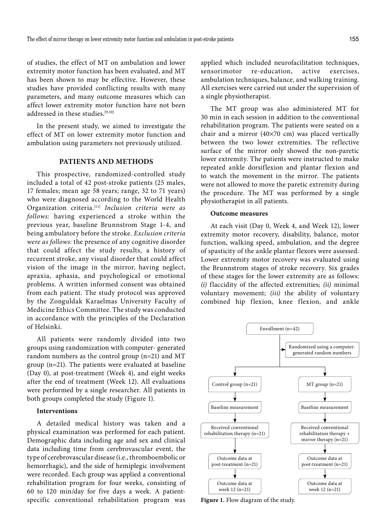of studies, the effect of MT on ambulation and lower extremity motor function has been evaluated, and MT has been shown to may be effective. However, these studies have provided conflicting results with many parameters, and many outcome measures which can affect lower extremity motor function have not been addressed in these studies.<sup>[9,10]</sup>

In the present study, we aimed to investigate the effect of MT on lower extremity motor function and ambulation using parameters not previously utilized.

## **PATIENTS AND METHODS**

This prospective, randomized-controlled study included a total of 42 post-stroke patients (25 males, 17 females; mean age 58 years; range, 32 to 71 years) who were diagnosed according to the World Health Organization criteria.[11] *Inclusion criteria were as follows:* having experienced a stroke within the previous year, baseline Brunnstrom Stage 1-4, and being ambulatory before the stroke. *Exclusion criteria were as follows:* the presence of any cognitive disorder that could affect the study results, a history of recurrent stroke, any visual disorder that could affect vision of the image in the mirror, having neglect, apraxia, aphasia, and psychological or emotional problems. A written informed consent was obtained from each patient. The study protocol was approved by the Zonguldak Karaelmas University Faculty of Medicine Ethics Committee. The study was conducted in accordance with the principles of the Declaration of Helsinki.

All patients were randomly divided into two groups using randomization with computer- generated random numbers as the control group (n=21) and MT group (n=21). The patients were evaluated at baseline (Day 0), at post-treatment (Week 4), and eight weeks after the end of treatment (Week 12). All evaluations were performed by a single researcher. All patients in both groups completed the study (Figure 1).

## **Interventions**

A detailed medical history was taken and a physical examination was performed for each patient. Demographic data including age and sex and clinical data including time from cerebrovascular event, the type of cerebrovascular disease (i.e., thromboembolic or hemorrhagic), and the side of hemiplegic involvement were recorded. Each group was applied a conventional rehabilitation program for four weeks, consisting of 60 to 120 min/day for five days a week. A patientspecific conventional rehabilitation program was

applied which included neurofacilitation techniques, sensorimotor re-education, active exercises, ambulation techniques, balance, and walking training. All exercises were carried out under the supervision of a single physiotherapist.

The MT group was also administered MT for 30 min in each session in addition to the conventional rehabilitation program. The patients were seated on a chair and a mirror  $(40\times70$  cm) was placed vertically between the two lower extremities. The reflective surface of the mirror only showed the non-paretic lower extremity. The patients were instructed to make repeated ankle dorsiflexion and plantar flexion and to watch the movement in the mirror. The patients were not allowed to move the paretic extremity during the procedure. The MT was performed by a single physiotherapist in all patients.

#### **Outcome measures**

At each visit (Day 0, Week 4, and Week 12), lower extremity motor recovery, disability, balance, motor function, walking speed, ambulation, and the degree of spasticity of the ankle plantar flexors were assessed. Lower extremity motor recovery was evaluated using the Brunnstrom stages of stroke recovery. Six grades of these stages for the lower extremity are as follows: *(i)* flaccidity of the affected extremities; *(ii)* minimal voluntary movement; *(iii)* the ability of voluntary combined hip flexion, knee flexion, and ankle



**Figure 1.** Flow diagram of the study.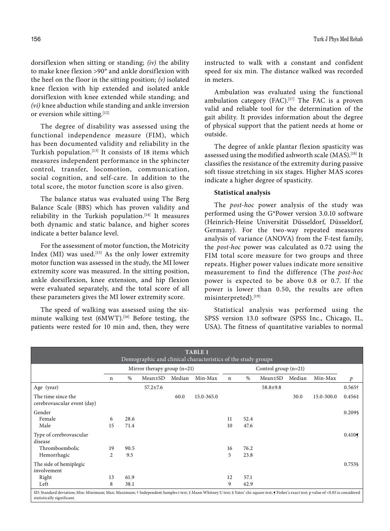dorsiflexion when sitting or standing; *(iv)* the ability to make knee flexion >90° and ankle dorsiflexion with the heel on the floor in the sitting position; *(v)* isolated knee flexion with hip extended and isolated ankle dorsiflexion with knee extended while standing; and *(vi)* knee abduction while standing and ankle inversion or eversion while sitting.<sup>[12]</sup>

The degree of disability was assessed using the functional independence measure (FIM), which has been documented validity and reliability in the Turkish population.[13] It consists of 18 items which measures independent performance in the sphincter control, transfer, locomotion, communication, social cognition, and self-care. In addition to the total score, the motor function score is also given.

The balance status was evaluated using The Berg Balance Scale (BBS) which has proven validity and reliability in the Turkish population.<sup>[14]</sup> It measures both dynamic and static balance, and higher scores indicate a better balance level.

For the assessment of motor function, the Motricity Index (MI) was used.<sup>[15]</sup> As the only lower extremity motor function was assessed in the study, the MI lower extremity score was measured. In the sitting position, ankle dorsiflexion, knee extension, and hip flexion were evaluated separately, and the total score of all these parameters gives the MI lower extremity score.

The speed of walking was assessed using the sixminute walking test (6MWT).<sup>[16]</sup> Before testing, the patients were rested for 10 min and, then, they were

statistically significant.

instructed to walk with a constant and confident speed for six min. The distance walked was recorded in meters.

Ambulation was evaluated using the functional ambulation category (FAC).<sup>[17]</sup> The FAC is a proven valid and reliable tool for the determination of the gait ability. It provides information about the degree of physical support that the patient needs at home or outside.

The degree of ankle plantar flexion spasticity was assessed using the modified ashworth scale (MAS).<sup>[18]</sup> It classifies the resistance of the extremity during passive soft tissue stretching in six stages. Higher MAS scores indicate a higher degree of spasticity.

## **Statistical analysis**

The *post-hoc* power analysis of the study was performed using the G\*Power version 3.0.10 software (Heinrich-Heine Universität Düsseldorf, Düsseldorf, Germany). For the two-way repeated measures analysis of variance (ANOVA) from the F-test family, the *post-hoc* power was calculated as 0.72 using the FIM total score measure for two groups and three repeats. Higher power values indicate more sensitive measurement to find the difference (The *post-hoc* power is expected to be above 0.8 or 0.7. If the power is lower than 0.50, the results are often misinterpreted).[19]

Statistical analysis was performed using the SPSS version 13.0 software (SPSS Inc., Chicago, IL, USA). The fitness of quantitative variables to normal

|                                                                                                                                                                                          |                |      |                               |        | <b>TABLE 1</b>                                               |             |      |                        |        |            |                |
|------------------------------------------------------------------------------------------------------------------------------------------------------------------------------------------|----------------|------|-------------------------------|--------|--------------------------------------------------------------|-------------|------|------------------------|--------|------------|----------------|
|                                                                                                                                                                                          |                |      |                               |        | Demographic and clinical characteristics of the study groups |             |      |                        |        |            |                |
|                                                                                                                                                                                          |                |      | Mirror therapy group $(n=21)$ |        |                                                              |             |      | Control group $(n=21)$ |        |            |                |
|                                                                                                                                                                                          | $\mathbf n$    | $\%$ | $Mean \pm SD$                 | Median | Min-Max                                                      | $\mathbf n$ | $\%$ | Mean±SD                | Median | Min-Max    | $\mathcal{P}$  |
| Age (year)                                                                                                                                                                               |                |      | $57.2 \pm 7.6$                |        |                                                              |             |      | $58.8 \pm 9.8$         |        |            | $0.565\dagger$ |
| The time since the<br>cerebrovascular event (day)                                                                                                                                        |                |      |                               | 60.0   | 15.0-365.0                                                   |             |      |                        | 30.0   | 15.0-300.0 | 0.456‡         |
| Gender                                                                                                                                                                                   |                |      |                               |        |                                                              |             |      |                        |        |            | 0.209\$        |
| Female                                                                                                                                                                                   | 6              | 28.6 |                               |        |                                                              | 11          | 52.4 |                        |        |            |                |
| Male                                                                                                                                                                                     | 15             | 71.4 |                               |        |                                                              | 10          | 47.6 |                        |        |            |                |
| Type of cerebrovascular                                                                                                                                                                  |                |      |                               |        |                                                              |             |      |                        |        |            | 0.410          |
| disease                                                                                                                                                                                  |                |      |                               |        |                                                              |             |      |                        |        |            |                |
| Thromboembolic                                                                                                                                                                           | 19             | 90.5 |                               |        |                                                              | 16          | 76.2 |                        |        |            |                |
| Hemorrhagic                                                                                                                                                                              | $\overline{c}$ | 9.5  |                               |        |                                                              | 5.          | 23.8 |                        |        |            |                |
| The side of hemiplegic                                                                                                                                                                   |                |      |                               |        |                                                              |             |      |                        |        |            | 0.753\$        |
| involvement                                                                                                                                                                              |                |      |                               |        |                                                              |             |      |                        |        |            |                |
| Right                                                                                                                                                                                    | 13             | 61.9 |                               |        |                                                              | 12          | 57.1 |                        |        |            |                |
| Left                                                                                                                                                                                     | 8              | 38.1 |                               |        |                                                              | 9           | 42.9 |                        |        |            |                |
| SD: Standard deviation; Min: Minimum; Max: Maximum; † Independent Samples t test; ‡ Mann Whitney U test; § Yates' chi-square test; § Fisher's exact test; p value of <0.05 is considered |                |      |                               |        |                                                              |             |      |                        |        |            |                |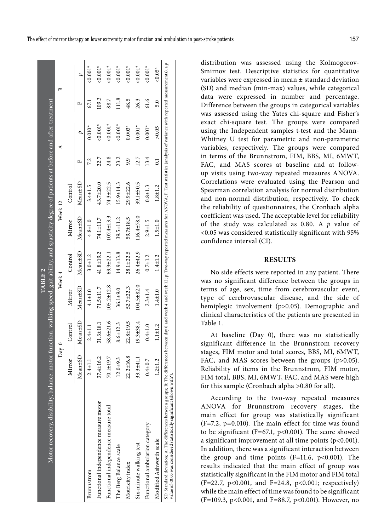|                                                                                                                                                                                                                                                                                                          |                   |                 | TABLE 2          |                 |                  |                 |                |           |       |            |
|----------------------------------------------------------------------------------------------------------------------------------------------------------------------------------------------------------------------------------------------------------------------------------------------------------|-------------------|-----------------|------------------|-----------------|------------------|-----------------|----------------|-----------|-------|------------|
| Motor recovery, disability, balance, motor function, walking speed, gait ability, and spasticity degree of patients at before and after treatment                                                                                                                                                        | Day 0             |                 | Week 4           |                 | Week 12          |                 | ⋖              |           | ≏     |            |
|                                                                                                                                                                                                                                                                                                          | Mirror            | Control         | Mirror           | Control         | Mirror           | Control         |                |           |       |            |
|                                                                                                                                                                                                                                                                                                          | $1\pm$ SD<br>Mean | Mean±SD         | Mean±SD          | Mean±SD         | Mean±SD          | Mean±SD         | 匹              | D         | щ     | D          |
| Brunnstrom                                                                                                                                                                                                                                                                                               | $2.4 \pm 1.1$     | $2.4 \pm 1.1$   | $4.1 \pm 1.0$    | $3.0 + 1.2$     | $4.8 + 1.0$      | $3.4 \pm 1.5$   | 7.2            | $0.010^*$ | 57.1  | $0.001*$   |
| Functional independence measure motor                                                                                                                                                                                                                                                                    | 37.4±16.2         | $31.3 \pm 18.1$ | $71.5 \pm 11.7$  | 41.8±19.2       | 74.1±11.7        | 43.7±20.0       | 22.7           | $0.001*$  | 109.3 | $&0.001*$  |
| Functional independence measure total                                                                                                                                                                                                                                                                    | 70.1±19.7         | 58.6±21.6       | $105.2 \pm 12.8$ | $69.9 \pm 22.1$ | $107.4 \pm 13.3$ | 74.3±22.5       | 24.8           | $0.001*$  | 88.7  | $&0.001*$  |
| The Berg Balance scale                                                                                                                                                                                                                                                                                   | $12.0 + 9.3$      | $8.6 \pm 12.3$  | $36.1 + 9.0$     | $14.9 \pm 13.8$ | $39.5 \pm 11.2$  | $15.9 \pm 14.3$ | 23.2           | $0.001*$  | 111.8 | $0.001*$   |
| Motricity index                                                                                                                                                                                                                                                                                          | $22.2 \pm 16.8$   | 22.8±19.5       | 52.7±22.3        | $28.1 \pm 22.5$ | 59.7±18.5        | $29.9 + 22.6$   | 9.9            | $0.003*$  | 48.5  | $0.001*$   |
| Six-minute walking test                                                                                                                                                                                                                                                                                  | $33.3 + 41.1$     | $19.3 \pm 38.4$ | 104.5±82.0       | $26.4 + 42.9$   | $16.4 \pm 78.0$  | 39.1±50.5       | 12.7           | $0.001*$  | 26.3  | $0.001*$   |
| Functional ambulation category                                                                                                                                                                                                                                                                           | $0.4 + 0.7$       | $0.4 + 1.0$     | $2.3 + 1.4$      | $0.7 + 1.2$     | $2.9 + 1.5$      | $0.8 + 1.3$     | 13.4           | $0.001*$  | 61.6  | $0.001*$   |
| Modified Ashworth scale                                                                                                                                                                                                                                                                                  | $1.2 \pm 1.2$     | $1.1 + 1.2$     | $1.4 + 1.0$      | $1.4 + 1.2$     | $1.5 + 1.0$      | $1.8 + 1.2$     | $\overline{0}$ | > 0.05    | 5.0   | ${<}0.05*$ |
| SD: Standard deviation; A: The differences between groups; B: The differences between day 0 and week 4 and week 12; p: Two-way repeated measures for ANOVA; F: Test statistics (analysis of variance with repeated measurement<br>value of <0.05 was considered statistically significant (shown with*). |                   |                 |                  |                 |                  |                 |                |           |       |            |

distribution was assessed using the Kolmogorov-Smirnov test. Descriptive statistics for quantitative variables were expressed in mean ± standard deviation (SD) and median (min-max) values, while categorical data were expressed in number and percentage. Difference between the groups in categorical variables was assessed using the Yates chi-square and Fisher's exact chi-square test. The groups were compared using the Independent samples t-test and the Mann-Whitney U test for parametric and non-parametric variables, respectively. The groups were compared in terms of the Brunnstrom, FIM, BBS, MI, 6MWT, FAC, and MAS scores at baseline and at followup visits using two-way repeated measures ANOVA. Correlations were evaluated using the Pearson and Spearman correlation analysis for normal distribution and non-normal distribution, respectively. To check the reliability of questionnaires, the Cronbach alpha coefficient was used. The acceptable level for reliability of the study was calculated as 0.80. A *p* value of <0.05 was considered statistically significant with 95% confidence interval (CI).

# **RESULTS**

No side effects were reported in any patient. There was no significant difference between the groups in terms of age, sex, time from cerebrovascular event, type of cerebrovascular disease, and the side of hemiplegic involvement (p>0.05). Demographic and clinical characteristics of the patients are presented in Table 1.

At baseline (Day 0), there was no statistically significant difference in the Brunnstrom recovery stages, FIM motor and total scores, BBS, MI, 6MWT, FAC, and MAS scores between the groups (p>0.05). Reliability of items in the Brunnstrom, FIM motor, FIM total, BBS, MI, 6MWT, FAC, and MAS were high for this sample (Cronbach alpha >0.80 for all).

According to the two-way repeated measures ANOVA for Brunnstrom recovery stages, the main effect for group was statistically significant (F=7.2, p=0.010). The main effect for time was found to be significant (F=67.1,  $p<0.001$ ). The score showed a significant improvement at all time points (p<0.001). In addition, there was a significant interaction between the group and time points  $(F=11.6, p<0.001)$ . The results indicated that the main effect of group was statistically significant in the FIM motor and FIM total (F=22.7, p<0.001, and F=24.8, p<0.001; respectively) while the main effect of time was found to be significant (F=109.3, p<0.001, and F=88.7, p<0.001). However, no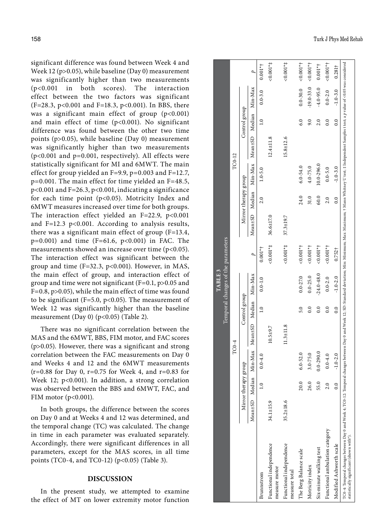significant difference was found between Week 4 and Week 12 (p>0.05), while baseline (Day 0) measurement was significantly higher than two measurements (p<0.001 in both scores). The interaction effect between the two factors was significant (F=28.3, p<0.001 and F=18.3, p<0.001). In BBS, there was a significant main effect of group  $(p<0.001)$ and main effect of time (p<0.001). No significant difference was found between the other two time points (p>0.05), while baseline (Day 0) measurement was significantly higher than two measurements (p<0.001 and p=0.001, respectively). All effects were statistically significant for MI and 6MWT. The main effect for group yielded an F=9.9, p=0.003 and F=12.7, p=0.001. The main effect for time yielded an F=48.5, p<0.001 and F=26.3, p<0.001, indicating a significance for each time point (p<0.05). Motricity Index and 6MWT measures increased over time for both groups. The interaction effect yielded an  $F=22.9$ ,  $p<0.001$ and F=12.3 p<0.001. According to analysis results, there was a significant main effect of group (F=13.4,  $p=0.001$ ) and time (F=61.6,  $p<0.001$ ) in FAC. The measurements showed an increase over time (p<0.05). The interaction effect was significant between the group and time  $(F=32.3, p<0.001)$ . However, in MAS, the main effect of group, and interaction effect of group and time were not significant (F=0.1, p>0.05 and F=0.8, p>0.05), while the main effect of time was found to be significant (F=5.0, p<0.05). The measurement of Week 12 was significantly higher than the baseline measurement (Day 0) ( $p<0.05$ ) (Table 2).

There was no significant correlation between the MAS and the 6MWT, BBS, FIM motor, and FAC scores (p>0.05). However, there was a significant and strong correlation between the FAC measurements on Day 0 and Weeks 4 and 12 and the 6MWT measurements  $(r=0.88$  for Day 0,  $r=0.75$  for Week 4, and  $r=0.83$  for Week 12; p<0.001). In addition, a strong correlation was observed between the BBS and 6MWT, FAC, and FIM motor  $(p<0.001)$ .

In both groups, the difference between the scores on Day 0 and at Weeks 4 and 12 was determined, and the temporal change (TC) was calculated. The change in time in each parameter was evaluated separately. Accordingly, there were significant differences in all parameters, except for the MAS scores, in all time points (TC0-4, and TC0-12) (p<0.05) (Table 3).

# **DISCUSSION**

In the present study, we attempted to examine the effect of MT on lower extremity motor function

|                                                                                                                                                                                                                                                                            |                 |                      |               |                                               |               | TABLE <sub>3</sub>                 |                |                 |                      |              |                                               |               |                         |                |
|----------------------------------------------------------------------------------------------------------------------------------------------------------------------------------------------------------------------------------------------------------------------------|-----------------|----------------------|---------------|-----------------------------------------------|---------------|------------------------------------|----------------|-----------------|----------------------|--------------|-----------------------------------------------|---------------|-------------------------|----------------|
|                                                                                                                                                                                                                                                                            |                 |                      |               |                                               |               | Temporal changes of the parameters |                |                 |                      |              |                                               |               |                         |                |
|                                                                                                                                                                                                                                                                            |                 |                      |               | $TC0-4$                                       |               |                                    |                |                 |                      | TC0-12       |                                               |               |                         |                |
|                                                                                                                                                                                                                                                                            |                 | Mirror therapy group |               |                                               | Control group |                                    |                |                 | Mirror therapy group |              |                                               | Control group |                         |                |
|                                                                                                                                                                                                                                                                            |                 |                      |               | Mean±SD Median Min-Max Mean±SD Median Min-Max |               |                                    |                |                 |                      |              | Mean±SD Median Min-Max Mean±SD Median Min-Max |               |                         | $\overline{q}$ |
| Brunnstrom                                                                                                                                                                                                                                                                 |                 | $\frac{1}{2}$        | $0.0 - 4.0$   |                                               | 1.0           | $0.0 - 1.0$                        | $0.001*$       |                 | 2.0                  | $1.0 - 5.0$  |                                               | 1.0           | $0.0 - 3.0$             | $0.001*$       |
| Functional independence<br>measure motor                                                                                                                                                                                                                                   | 34.1±15.9       |                      |               | $10.5 + 9.7$                                  |               |                                    | $0.001**$      | $36.6 \pm 17.0$ |                      |              | $12.4 \pm 11.8$                               |               |                         | $50.001*$      |
| Functional independence<br>measure total                                                                                                                                                                                                                                   | $35.2 \pm 18.6$ |                      |               | $11.3 \pm 11.8$                               |               |                                    | $0.001**$      | $37.3 \pm 19.7$ |                      |              | $15.8 \pm 12.6$                               |               |                         | $0.001*$       |
| The Berg Balance scale                                                                                                                                                                                                                                                     |                 | 20.0                 | $6.0 - 52.0$  |                                               | 5.0           | $0.0 - 27.0$                       | $< 0.001*$     |                 | 24.0                 | $6.0 - 54.0$ |                                               | 6.0           | $0.0 - 30.0$            | $40.001*$      |
| Motricity index                                                                                                                                                                                                                                                            |                 | 26.0                 | $3.0 - 75.0$  |                                               | $\ddot{0}$ .  | $0.0 - 25.0$                       | $< 0.001*$     |                 | 31.0                 | $4.0 - 75.0$ |                                               | $0.6\,$       | $-19.0 - 33.0$ < 0.001* |                |
| Six-minute walking test                                                                                                                                                                                                                                                    |                 | 55.0                 | $0.0 - 290.0$ |                                               | 0.0           | $-24.0 - 48.0$                     | $0.001*$       |                 | 60.0                 | 10.0-296.0   |                                               | 2.0           | $-4.0 - 95.0$           | $0.001*$ †     |
| Functional ambulation category                                                                                                                                                                                                                                             |                 | 2.0                  | $0 - 4.0$     |                                               | $\ddot{0}$ .  | $0.0 - 2.0$                        | $< 0.001*$     |                 | 2.0                  | $0.0 - 5.0$  |                                               | 0.0           | $0.0 - 2.0$             | $-0.001*$      |
| Modified Ashworth scale                                                                                                                                                                                                                                                    |                 | $\overline{0}$       | $-1.0 - 2.0$  |                                               | 0.0           | $-1.0 - 2.0$                       | $0.752\dagger$ |                 | 0.0                  | $-1.0 - 3.0$ |                                               | 0.0           | $-1.0 - 3.0$            | $0.281\dagger$ |
| TC0-4: Temporal changes between Day 0 and Week 4; TC0-12: Temporal changes between Day 0 and Week 12; SD: Standard deviation; Min: Minimum; Max: Maximum; † Mann Whitney U test; ‡ Independent Samples t test; a p value of <0<br>statistically significant (shown with*). |                 |                      |               |                                               |               |                                    |                |                 |                      |              |                                               |               |                         |                |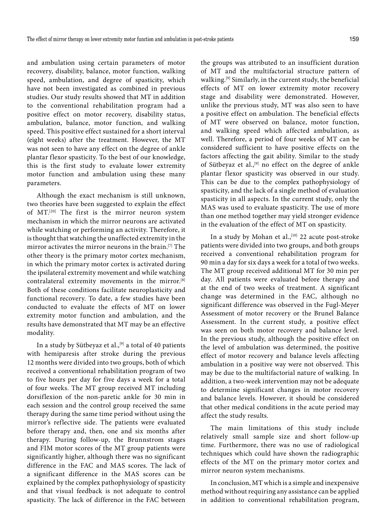and ambulation using certain parameters of motor recovery, disability, balance, motor function, walking speed, ambulation, and degree of spasticity, which have not been investigated as combined in previous studies. Our study results showed that MT in addition to the conventional rehabilitation program had a positive effect on motor recovery, disability status, ambulation, balance, motor function, and walking speed. This positive effect sustained for a short interval (eight weeks) after the treatment. However, the MT was not seen to have any effect on the degree of ankle plantar flexor spasticity. To the best of our knowledge, this is the first study to evaluate lower extremity motor function and ambulation using these many parameters.

Although the exact mechanism is still unknown, two theories have been suggested to explain the effect of MT.[20] The first is the mirror neuron system mechanism in which the mirror neurons are activated while watching or performing an activity. Therefore, it is thought that watching the unaffected extremity in the mirror activates the mirror neurons in the brain.[7] The other theory is the primary motor cortex mechanism, in which the primary motor cortex is activated during the ipsilateral extremity movement and while watching contralateral extremity movements in the mirror.[8] Both of these conditions facilitate neuroplasticity and functional recovery. To date, a few studies have been conducted to evaluate the effects of MT on lower extremity motor function and ambulation, and the results have demonstrated that MT may be an effective modality.

In a study by Sütbeyaz et al.,<sup>[9]</sup> a total of 40 patients with hemiparesis after stroke during the previous 12 months were divided into two groups, both of which received a conventional rehabilitation program of two to five hours per day for five days a week for a total of four weeks. The MT group received MT including dorsiflexion of the non-paretic ankle for 30 min in each session and the control group received the same therapy during the same time period without using the mirror's reflective side. The patients were evaluated before therapy and, then, one and six months after therapy. During follow-up, the Brunnstrom stages and FIM motor scores of the MT group patients were significantly higher, although there was no significant difference in the FAC and MAS scores. The lack of a significant difference in the MAS scores can be explained by the complex pathophysiology of spasticity and that visual feedback is not adequate to control spasticity. The lack of difference in the FAC between

the groups was attributed to an insufficient duration of MT and the multifactorial structure pattern of walking.[9] Similarly, in the current study, the beneficial effects of MT on lower extremity motor recovery stage and disability were demonstrated. However, unlike the previous study, MT was also seen to have a positive effect on ambulation. The beneficial effects of MT were observed on balance, motor function, and walking speed which affected ambulation, as well. Therefore, a period of four weeks of MT can be considered sufficient to have positive effects on the factors affecting the gait ability. Similar to the study of Sütbeyaz et al.,<sup>[9]</sup> no effect on the degree of ankle plantar flexor spasticity was observed in our study. This can be due to the complex pathophysiology of spasticity, and the lack of a single method of evaluation spasticity in all aspects. In the current study, only the MAS was used to evaluate spasticity. The use of more than one method together may yield stronger evidence in the evaluation of the effect of MT on spasticity.

In a study by Mohan et al.,<sup>[10]</sup> 22 acute post-stroke patients were divided into two groups, and both groups received a conventional rehabilitation program for 90 min a day for six days a week for a total of two weeks. The MT group received additional MT for 30 min per day. All patients were evaluated before therapy and at the end of two weeks of treatment. A significant change was determined in the FAC, although no significant difference was observed in the Fugl-Meyer Assessment of motor recovery or the Brunel Balance Assessment. In the current study, a positive effect was seen on both motor recovery and balance level. In the previous study, although the positive effect on the level of ambulation was determined, the positive effect of motor recovery and balance levels affecting ambulation in a positive way were not observed. This may be due to the multifactorial nature of walking. In addition, a two-week intervention may not be adequate to determine significant changes in motor recovery and balance levels. However, it should be considered that other medical conditions in the acute period may affect the study results.

The main limitations of this study include relatively small sample size and short follow-up time. Furthermore, there was no use of radiological techniques which could have shown the radiographic effects of the MT on the primary motor cortex and mirror neuron system mechanisms.

In conclusion, MT which is a simple and inexpensive method without requiring any assistance can be applied in addition to conventional rehabilitation program,